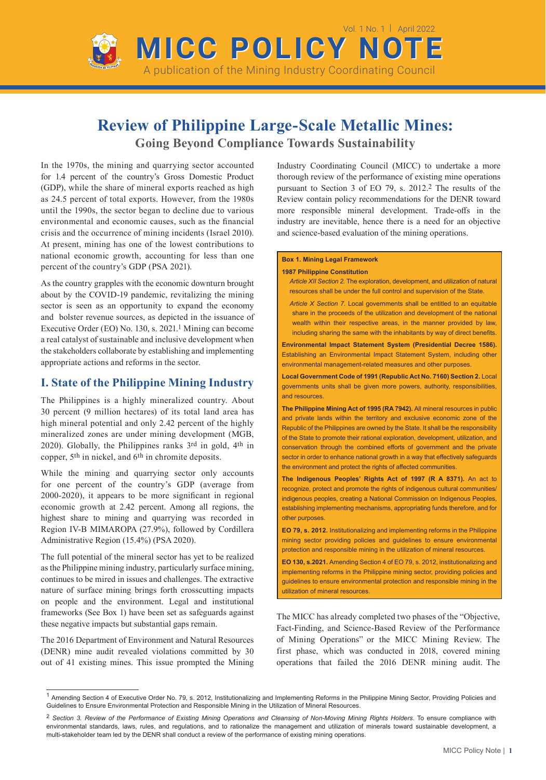

# **Review of Philippine Large-Scale Metallic Mines:**

**Going Beyond Compliance Towards Sustainability**

In the 1970s, the mining and quarrying sector accounted for 1.4 percent of the country's Gross Domestic Product (GDP), while the share of mineral exports reached as high as 24.5 percent of total exports. However, from the 1980s until the 1990s, the sector began to decline due to various environmental and economic causes, such as the financial crisis and the occurrence of mining incidents (Israel 2010). At present, mining has one of the lowest contributions to national economic growth, accounting for less than one percent of the country's GDP (PSA 2021).

As the country grapples with the economic downturn brought about by the COVID-19 pandemic, revitalizing the mining sector is seen as an opportunity to expand the economy and bolster revenue sources, as depicted in the issuance of Executive Order (EO) No. 130, s. 2021.1 Mining can become a real catalyst of sustainable and inclusive development when the stakeholders collaborate by establishing and implementing appropriate actions and reforms in the sector.

## **I. State of the Philippine Mining Industry**

The Philippines is a highly mineralized country. About 30 percent (9 million hectares) of its total land area has high mineral potential and only 2.42 percent of the highly mineralized zones are under mining development (MGB, 2020). Globally, the Philippines ranks 3rd in gold, 4th in copper, 5th in nickel, and 6th in chromite deposits.

While the mining and quarrying sector only accounts for one percent of the country's GDP (average from 2000-2020), it appears to be more significant in regional economic growth at 2.42 percent. Among all regions, the highest share to mining and quarrying was recorded in Region IV-B MIMAROPA (27.9%), followed by Cordillera Administrative Region (15.4%) (PSA 2020).

The full potential of the mineral sector has yet to be realized as the Philippine mining industry, particularly surface mining, continues to be mired in issues and challenges. The extractive nature of surface mining brings forth crosscutting impacts on people and the environment. Legal and institutional frameworks (See Box 1) have been set as safeguards against these negative impacts but substantial gaps remain.

The 2016 Department of Environment and Natural Resources (DENR) mine audit revealed violations committed by 30 out of 41 existing mines. This issue prompted the Mining Industry Coordinating Council (MICC) to undertake a more thorough review of the performance of existing mine operations pursuant to Section 3 of EO 79, s. 2012.2 The results of the Review contain policy recommendations for the DENR toward more responsible mineral development. Trade-offs in the industry are inevitable, hence there is a need for an objective and science-based evaluation of the mining operations.

#### **Box 1. Mining Legal Framework**

#### **1987 Philippine Constitution**

*Article XII Section 2.* The exploration, development, and utilization of natural resources shall be under the full control and supervision of the State.

*Article X Section 7.* Local governments shall be entitled to an equitable share in the proceeds of the utilization and development of the national wealth within their respective areas, in the manner provided by law, including sharing the same with the inhabitants by way of direct benefits.

**Environmental Impact Statement System (Presidential Decree 1586).**  Establishing an Environmental Impact Statement System, including other environmental management-related measures and other purposes.

**Local Government Code of 1991 (Republic Act No. 7160) Section 2.** Local governments units shall be given more powers, authority, responsibilities, and resources.

**The Philippine Mining Act of 1995 (RA 7942).** All mineral resources in public and private lands within the territory and exclusive economic zone of the Republic of the Philippines are owned by the State. It shall be the responsibility of the State to promote their rational exploration, development, utilization, and conservation through the combined efforts of government and the private sector in order to enhance national growth in a way that effectively safeguards the environment and protect the rights of affected communities.

**The Indigenous Peoples' Rights Act of 1997 (R A 8371).** An act to recognize, protect and promote the rights of indigenous cultural communities/ indigenous peoples, creating a National Commission on Indigenous Peoples, establishing implementing mechanisms, appropriating funds therefore, and for other purposes.

**EO 79, s. 2012.** Institutionalizing and implementing reforms in the Philippine mining sector providing policies and guidelines to ensure environmental protection and responsible mining in the utilization of mineral resources.

**EO 130, s.2021.** Amending Section 4 of EO 79, s. 2012, institutionalizing and implementing reforms in the Philippine mining sector, providing policies and guidelines to ensure environmental protection and responsible mining in the utilization of mineral resources.

The MICC has already completed two phases of the "Objective, Fact-Finding, and Science-Based Review of the Performance of Mining Operations" or the MICC Mining Review. The first phase, which was conducted in 2018, covered mining operations that failed the 2016 DENR mining audit. The

<sup>1</sup> Amending Section 4 of Executive Order No. 79, s. 2012, Institutionalizing and Implementing Reforms in the Philippine Mining Sector, Providing Policies and Guidelines to Ensure Environmental Protection and Responsible Mining in the Utilization of Mineral Resources.

<sup>2</sup> *Section 3. Review of the Performance of Existing Mining Operations and Cleansing of Non-Moving Mining Rights Holders*. To ensure compliance with environmental standards, laws, rules, and regulations, and to rationalize the management and utilization of minerals toward sustainable development, a multi-stakeholder team led by the DENR shall conduct a review of the performance of existing mining operations.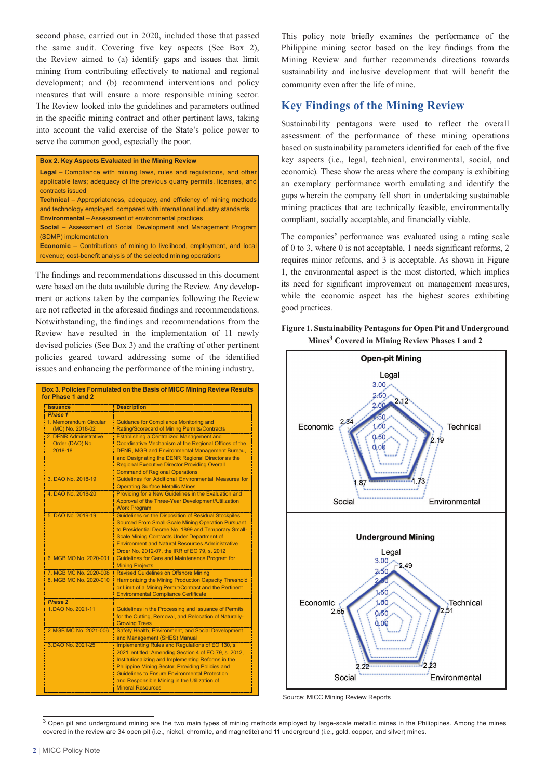second phase, carried out in 2020, included those that passed the same audit. Covering five key aspects (See Box 2), the Review aimed to (a) identify gaps and issues that limit mining from contributing effectively to national and regional development; and (b) recommend interventions and policy measures that will ensure a more responsible mining sector. The Review looked into the guidelines and parameters outlined in the specific mining contract and other pertinent laws, taking into account the valid exercise of the State's police power to serve the common good, especially the poor.

#### **Box 2. Key Aspects Evaluated in the Mining Review**

| <b>Legal</b> – Compliance with mining laws, rules and regulations, and other<br>applicable laws; adequacy of the previous quarry permits, licenses, and<br>contracts issued |
|-----------------------------------------------------------------------------------------------------------------------------------------------------------------------------|
| <b>Technical</b> – Appropriateness, adequacy, and efficiency of mining methods                                                                                              |
| and technology employed, compared with international industry standards                                                                                                     |
| <b>Environmental</b> – Assessment of environmental practices                                                                                                                |
| <b>Social</b> – Assessment of Social Development and Management Program                                                                                                     |
| (SDMP) implementation                                                                                                                                                       |
| <b>Economic</b> – Contributions of mining to livelihood, employment, and local                                                                                              |
| revenue; cost-benefit analysis of the selected mining operations                                                                                                            |

The findings and recommendations discussed in this document were based on the data available during the Review. Any development or actions taken by the companies following the Review are not reflected in the aforesaid findings and recommendations. Notwithstanding, the findings and recommendations from the Review have resulted in the implementation of 11 newly devised policies (See Box 3) and the crafting of other pertinent policies geared toward addressing some of the identified issues and enhancing the performance of the mining industry.

| <b>Issuance</b>        | <b>Description</b>                                      |
|------------------------|---------------------------------------------------------|
| Phase 1                |                                                         |
| 1. Memorandum Circular | <b>Guidance for Compliance Monitoring and</b>           |
| (MC) No. 2018-02       | Rating/Scorecard of Mining Permits/Contracts            |
| 2. DENR Administrative | <b>Establishing a Centralized Management and</b>        |
| Order (DAO) No.        | Coordinative Mechanism at the Regional Offices of the   |
| 2018-18                | DENR, MGB and Environmental Management Bureau,          |
|                        | and Designating the DENR Regional Director as the       |
|                        | <b>Regional Executive Director Providing Overall</b>    |
|                        | <b>Command of Regional Operations</b>                   |
| 3. DAO No. 2018-19     | Guidelines for Additional Environmental Measures for    |
|                        | <b>Operating Surface Metallic Mines</b>                 |
| 4. DAO No. 2018-20     | Providing for a New Guidelines in the Evaluation and    |
|                        | Approval of the Three-Year Development/Utilization      |
|                        | <b>Work Program</b>                                     |
| 5. DAO No. 2019-19     | Guidelines on the Disposition of Residual Stockpiles    |
|                        | Sourced From Small-Scale Mining Operation Pursuant      |
|                        | to Presidential Decree No. 1899 and Temporary Small-    |
|                        | <b>Scale Mining Contracts Under Department of</b>       |
|                        | <b>Environment and Natural Resources Administrative</b> |
|                        | Order No. 2012-07, the IRR of EO 79, s. 2012            |
| 6. MGB MO No. 2020-001 | Guidelines for Care and Maintenance Program for         |
|                        | <b>Mining Projects</b>                                  |
| 7. MGB MC No. 2020-008 | <b>Revised Guidelines on Offshore Mining</b>            |
| 8. MGB MC No. 2020-010 | Harmonizing the Mining Production Capacity Threshold    |
|                        | or Limit of a Mining Permit/Contract and the Pertinent  |
|                        | <b>Environmental Compliance Certificate</b>             |
| Phase 2                |                                                         |
| 1. DAO No. 2021-11     | Guidelines in the Processing and Issuance of Permits    |
|                        | for the Cutting, Removal, and Relocation of Naturally-  |
|                        | <b>Growing Trees</b>                                    |
| 2. MGB MC No. 2021-006 | Safety Health, Environment, and Social Development      |
|                        | and Management (SHES) Manual                            |
| 3. DAO No. 2021-25     | Implementing Rules and Regulations of EO 130, s.        |
|                        | 2021 entitled: Amending Section 4 of EO 79, s. 2012,    |
|                        | Institutionalizing and Implementing Reforms in the      |
|                        | Philippine Mining Sector, Providing Policies and        |
|                        | <b>Guidelines to Ensure Environmental Protection</b>    |
|                        | and Responsible Mining in the Utilization of            |
|                        | <b>Mineral Resources</b>                                |

This policy note briefly examines the performance of the Philippine mining sector based on the key findings from the Mining Review and further recommends directions towards sustainability and inclusive development that will benefit the community even after the life of mine.

# **Key Findings of the Mining Review**

Sustainability pentagons were used to reflect the overall assessment of the performance of these mining operations based on sustainability parameters identified for each of the five key aspects (i.e., legal, technical, environmental, social, and economic). These show the areas where the company is exhibiting an exemplary performance worth emulating and identify the gaps wherein the company fell short in undertaking sustainable mining practices that are technically feasible, environmentally compliant, socially acceptable, and financially viable.

The companies' performance was evaluated using a rating scale of 0 to 3, where 0 is not acceptable, 1 needs significant reforms, 2 requires minor reforms, and 3 is acceptable. As shown in Figure 1, the environmental aspect is the most distorted, which implies its need for significant improvement on management measures, while the economic aspect has the highest scores exhibiting good practices.

## **Figure 1. Sustainability Pentagons for Open Pit and Underground Mines3 Covered in Mining Review Phases 1 and 2**



Source: MICC Mining Review Reports

 $3$  Open pit and underground mining are the two main types of mining methods employed by large-scale metallic mines in the Philippines. Among the mines covered in the review are 34 open pit (i.e., nickel, chromite, and magnetite) and 11 underground (i.e., gold, copper, and silver) mines.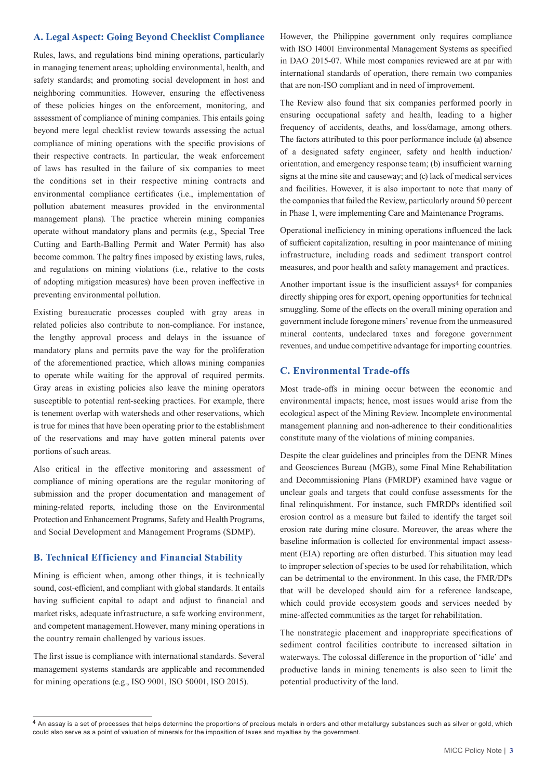## **A. Legal Aspect: Going Beyond Checklist Compliance**

Rules, laws, and regulations bind mining operations, particularly in managing tenement areas; upholding environmental, health, and safety standards; and promoting social development in host and neighboring communities. However, ensuring the effectiveness of these policies hinges on the enforcement, monitoring, and assessment of compliance of mining companies. This entails going beyond mere legal checklist review towards assessing the actual compliance of mining operations with the specific provisions of their respective contracts. In particular, the weak enforcement of laws has resulted in the failure of six companies to meet the conditions set in their respective mining contracts and environmental compliance certificates (i.e., implementation of pollution abatement measures provided in the environmental management plans). The practice wherein mining companies operate without mandatory plans and permits (e.g., Special Tree Cutting and Earth-Balling Permit and Water Permit) has also become common. The paltry fines imposed by existing laws, rules, and regulations on mining violations (i.e., relative to the costs of adopting mitigation measures) have been proven ineffective in preventing environmental pollution.

Existing bureaucratic processes coupled with gray areas in related policies also contribute to non-compliance. For instance, the lengthy approval process and delays in the issuance of mandatory plans and permits pave the way for the proliferation of the aforementioned practice, which allows mining companies to operate while waiting for the approval of required permits. Gray areas in existing policies also leave the mining operators susceptible to potential rent-seeking practices. For example, there is tenement overlap with watersheds and other reservations, which is true for mines that have been operating prior to the establishment of the reservations and may have gotten mineral patents over portions of such areas.

Also critical in the effective monitoring and assessment of compliance of mining operations are the regular monitoring of submission and the proper documentation and management of mining-related reports, including those on the Environmental Protection and Enhancement Programs, Safety and Health Programs, and Social Development and Management Programs (SDMP).

#### **B. Technical Efficiency and Financial Stability**

Mining is efficient when, among other things, it is technically sound, cost-efficient, and compliant with global standards. It entails having sufficient capital to adapt and adjust to financial and market risks, adequate infrastructure, a safe working environment, and competent management. However, many mining operations in the country remain challenged by various issues.

The first issue is compliance with international standards. Several management systems standards are applicable and recommended for mining operations (e.g., ISO 9001, ISO 50001, ISO 2015).

However, the Philippine government only requires compliance with ISO 14001 Environmental Management Systems as specified in DAO 2015-07. While most companies reviewed are at par with international standards of operation, there remain two companies that are non-ISO compliant and in need of improvement.

The Review also found that six companies performed poorly in ensuring occupational safety and health, leading to a higher frequency of accidents, deaths, and loss/damage, among others. The factors attributed to this poor performance include (a) absence of a designated safety engineer, safety and health induction/ orientation, and emergency response team; (b) insufficient warning signs at the mine site and causeway; and (c) lack of medical services and facilities. However, it is also important to note that many of the companies that failed the Review, particularly around 50 percent in Phase 1, were implementing Care and Maintenance Programs.

Operational inefficiency in mining operations influenced the lack of sufficient capitalization, resulting in poor maintenance of mining infrastructure, including roads and sediment transport control measures, and poor health and safety management and practices.

Another important issue is the insufficient assays<sup>4</sup> for companies directly shipping ores for export, opening opportunities for technical smuggling. Some of the effects on the overall mining operation and government include foregone miners' revenue from the unmeasured mineral contents, undeclared taxes and foregone government revenues, and undue competitive advantage for importing countries.

### **C. Environmental Trade-offs**

Most trade-offs in mining occur between the economic and environmental impacts; hence, most issues would arise from the ecological aspect of the Mining Review. Incomplete environmental management planning and non-adherence to their conditionalities constitute many of the violations of mining companies.

Despite the clear guidelines and principles from the DENR Mines and Geosciences Bureau (MGB), some Final Mine Rehabilitation and Decommissioning Plans (FMRDP) examined have vague or unclear goals and targets that could confuse assessments for the final relinquishment. For instance, such FMRDPs identified soil erosion control as a measure but failed to identify the target soil erosion rate during mine closure. Moreover, the areas where the baseline information is collected for environmental impact assessment (EIA) reporting are often disturbed. This situation may lead to improper selection of species to be used for rehabilitation, which can be detrimental to the environment. In this case, the FMR/DPs that will be developed should aim for a reference landscape, which could provide ecosystem goods and services needed by mine-affected communities as the target for rehabilitation.

The nonstrategic placement and inappropriate specifications of sediment control facilities contribute to increased siltation in waterways. The colossal difference in the proportion of 'idle' and productive lands in mining tenements is also seen to limit the potential productivity of the land.

<sup>4</sup> An assay is a set of processes that helps determine the proportions of precious metals in orders and other metallurgy substances such as silver or gold, which could also serve as a point of valuation of minerals for the imposition of taxes and royalties by the government.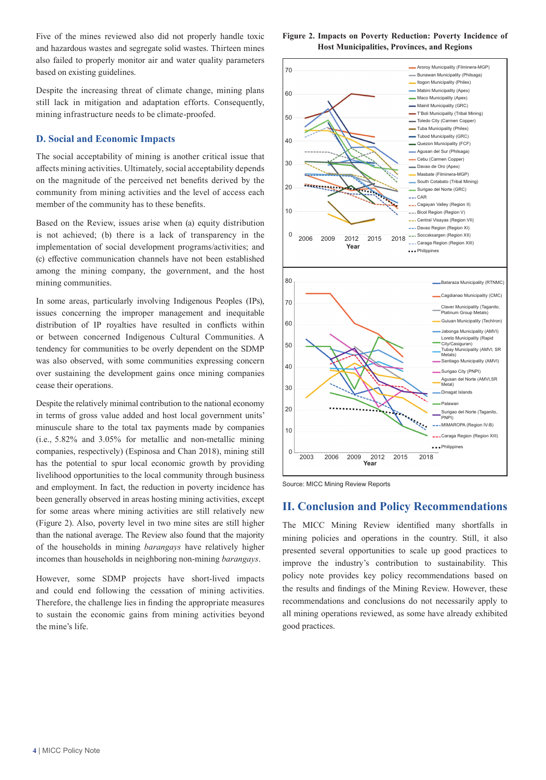Five of the mines reviewed also did not properly handle toxic and hazardous wastes and segregate solid wastes. Thirteen mines also failed to properly monitor air and water quality parameters based on existing guidelines.

Despite the increasing threat of climate change, mining plans still lack in mitigation and adaptation efforts. Consequently, mining infrastructure needs to be climate-proofed.

#### **D. Social and Economic Impacts**

The social acceptability of mining is another critical issue that affects mining activities. Ultimately, social acceptability depends on the magnitude of the perceived net benefits derived by the community from mining activities and the level of access each member of the community has to these benefits.

Based on the Review, issues arise when (a) equity distribution is not achieved; (b) there is a lack of transparency in the implementation of social development programs/activities; and (c) effective communication channels have not been established among the mining company, the government, and the host mining communities.

In some areas, particularly involving Indigenous Peoples (IPs), issues concerning the improper management and inequitable distribution of IP royalties have resulted in conflicts within or between concerned Indigenous Cultural Communities. A tendency for communities to be overly dependent on the SDMP was also observed, with some communities expressing concern over sustaining the development gains once mining companies cease their operations.

Despite the relatively minimal contribution to the national economy in terms of gross value added and host local government units' minuscule share to the total tax payments made by companies (i.e., 5.82% and 3.05% for metallic and non-metallic mining companies, respectively) (Espinosa and Chan 2018), mining still has the potential to spur local economic growth by providing livelihood opportunities to the local community through business and employment. In fact, the reduction in poverty incidence has been generally observed in areas hosting mining activities, except for some areas where mining activities are still relatively new (Figure 2). Also, poverty level in two mine sites are still higher than the national average. The Review also found that the majority of the households in mining *barangays* have relatively higher incomes than households in neighboring non-mining *barangays*.

However, some SDMP projects have short-lived impacts and could end following the cessation of mining activities. Therefore, the challenge lies in finding the appropriate measures to sustain the economic gains from mining activities beyond the mine's life.







## **II. Conclusion and Policy Recommendations**

The MICC Mining Review identified many shortfalls in mining policies and operations in the country. Still, it also presented several opportunities to scale up good practices to improve the industry's contribution to sustainability. This policy note provides key policy recommendations based on the results and findings of the Mining Review. However, these recommendations and conclusions do not necessarily apply to all mining operations reviewed, as some have already exhibited good practices.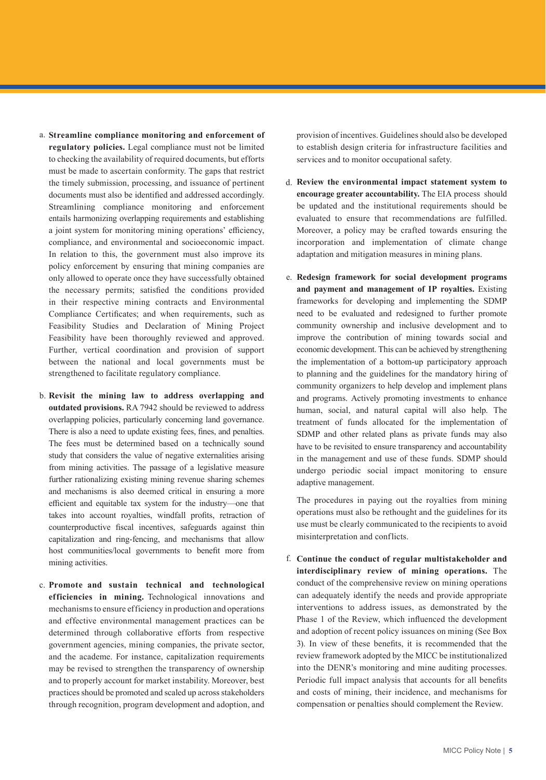- **Streamline compliance monitoring and enforcement of**  a. **regulatory policies.** Legal compliance must not be limited to checking the availability of required documents, but efforts must be made to ascertain conformity. The gaps that restrict the timely submission, processing, and issuance of pertinent documents must also be identified and addressed accordingly. Streamlining compliance monitoring and enforcement entails harmonizing overlapping requirements and establishing a joint system for monitoring mining operations' efficiency, compliance, and environmental and socioeconomic impact. In relation to this, the government must also improve its policy enforcement by ensuring that mining companies are only allowed to operate once they have successfully obtained the necessary permits; satisfied the conditions provided in their respective mining contracts and Environmental Compliance Certificates; and when requirements, such as Feasibility Studies and Declaration of Mining Project Feasibility have been thoroughly reviewed and approved. Further, vertical coordination and provision of support between the national and local governments must be strengthened to facilitate regulatory compliance.
- **Revisit the mining law to address overlapping and**  b. **outdated provisions.** RA 7942 should be reviewed to address overlapping policies, particularly concerning land governance. There is also a need to update existing fees, fines, and penalties. The fees must be determined based on a technically sound study that considers the value of negative externalities arising from mining activities. The passage of a legislative measure further rationalizing existing mining revenue sharing schemes and mechanisms is also deemed critical in ensuring a more efficient and equitable tax system for the industry—one that takes into account royalties, windfall profits, retraction of counterproductive fiscal incentives, safeguards against thin capitalization and ring-fencing, and mechanisms that allow host communities/local governments to benefit more from mining activities.
- **Promote and sustain technical and technological**  c. **efficiencies in mining.** Technological innovations and mechanisms to ensure efficiency in production and operations and effective environmental management practices can be determined through collaborative efforts from respective government agencies, mining companies, the private sector, and the academe. For instance, capitalization requirements may be revised to strengthen the transparency of ownership and to properly account for market instability. Moreover, best practices should be promoted and scaled up across stakeholders through recognition, program development and adoption, and

provision of incentives. Guidelines should also be developed to establish design criteria for infrastructure facilities and services and to monitor occupational safety.

- **Review the environmental impact statement system to**  d. **encourage greater accountability.** The EIA process should be updated and the institutional requirements should be evaluated to ensure that recommendations are fulfilled. Moreover, a policy may be crafted towards ensuring the incorporation and implementation of climate change adaptation and mitigation measures in mining plans.
- **Redesign framework for social development programs**  e. **and payment and management of IP royalties.** Existing frameworks for developing and implementing the SDMP need to be evaluated and redesigned to further promote community ownership and inclusive development and to improve the contribution of mining towards social and economic development. This can be achieved by strengthening the implementation of a bottom-up participatory approach to planning and the guidelines for the mandatory hiring of community organizers to help develop and implement plans and programs. Actively promoting investments to enhance human, social, and natural capital will also help. The treatment of funds allocated for the implementation of SDMP and other related plans as private funds may also have to be revisited to ensure transparency and accountability in the management and use of these funds. SDMP should undergo periodic social impact monitoring to ensure adaptive management.

The procedures in paying out the royalties from mining operations must also be rethought and the guidelines for its use must be clearly communicated to the recipients to avoid misinterpretation and conflicts.

**Continue the conduct of regular multistakeholder and**  f.**interdisciplinary review of mining operations.** The conduct of the comprehensive review on mining operations can adequately identify the needs and provide appropriate interventions to address issues, as demonstrated by the Phase 1 of the Review, which influenced the development and adoption of recent policy issuances on mining (See Box 3). In view of these benefits, it is recommended that the review framework adopted by the MICC be institutionalized into the DENR's monitoring and mine auditing processes. Periodic full impact analysis that accounts for all benefits and costs of mining, their incidence, and mechanisms for compensation or penalties should complement the Review.